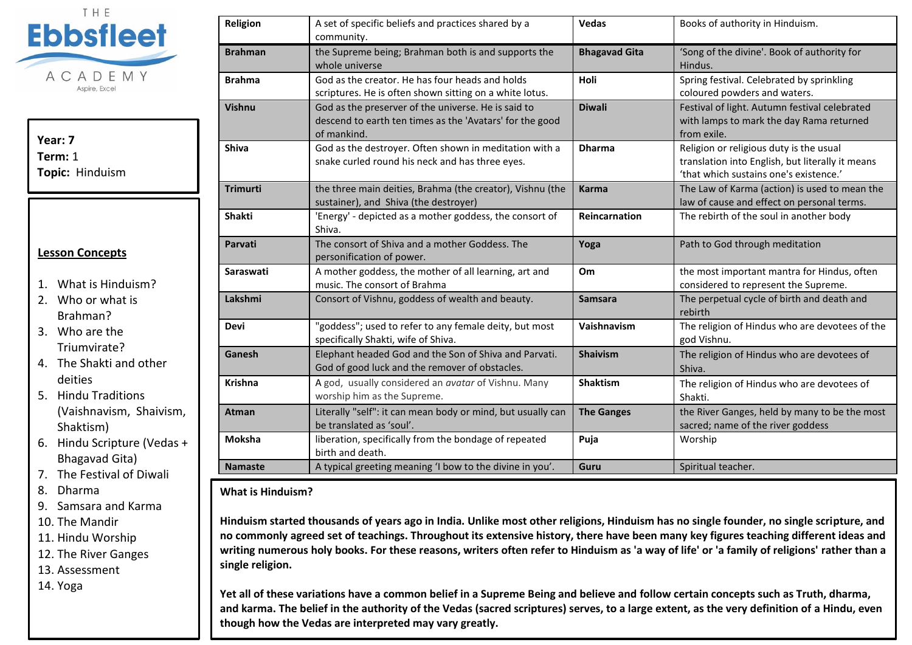

**Year: 7 Term:** 1 **Topic:** Hinduism

## **Lesson Concepts**

- 1. What is Hinduism?
- 2. Who or what is Brahman?
- 3. Who are the Triumvirate?
- 4. The Shakti and other deities
- 5. Hindu Traditions (Vaishnavism, Shaivism, Shaktism)
- 6. Hindu Scripture (Vedas + Bhagavad Gita)
- 7. The Festival of Diwali
- 8. Dharma
- 9. Samsara and Karma
- 10. The Mandir
- 11. Hindu Worship
- 12. The River Ganges

13. Assessment

14. Yoga

| Religion        | A set of specific beliefs and practices shared by a<br>community.                                                              | <b>Vedas</b>         | Books of authority in Hinduism.                                                                                                       |
|-----------------|--------------------------------------------------------------------------------------------------------------------------------|----------------------|---------------------------------------------------------------------------------------------------------------------------------------|
| <b>Brahman</b>  | the Supreme being; Brahman both is and supports the<br>whole universe                                                          | <b>Bhagavad Gita</b> | 'Song of the divine'. Book of authority for<br>Hindus.                                                                                |
| <b>Brahma</b>   | God as the creator. He has four heads and holds<br>scriptures. He is often shown sitting on a white lotus.                     | Holi                 | Spring festival. Celebrated by sprinkling<br>coloured powders and waters.                                                             |
| <b>Vishnu</b>   | God as the preserver of the universe. He is said to<br>descend to earth ten times as the 'Avatars' for the good<br>of mankind. | <b>Diwali</b>        | Festival of light. Autumn festival celebrated<br>with lamps to mark the day Rama returned<br>from exile.                              |
| <b>Shiva</b>    | God as the destroyer. Often shown in meditation with a<br>snake curled round his neck and has three eyes.                      | <b>Dharma</b>        | Religion or religious duty is the usual<br>translation into English, but literally it means<br>'that which sustains one's existence.' |
| <b>Trimurti</b> | the three main deities, Brahma (the creator), Vishnu (the<br>sustainer), and Shiva (the destroyer)                             | <b>Karma</b>         | The Law of Karma (action) is used to mean the<br>law of cause and effect on personal terms.                                           |
| <b>Shakti</b>   | 'Energy' - depicted as a mother goddess, the consort of<br>Shiva.                                                              | Reincarnation        | The rebirth of the soul in another body                                                                                               |
| Parvati         | The consort of Shiva and a mother Goddess. The<br>personification of power.                                                    | Yoga                 | Path to God through meditation                                                                                                        |
| Saraswati       | A mother goddess, the mother of all learning, art and<br>music. The consort of Brahma                                          | Om                   | the most important mantra for Hindus, often<br>considered to represent the Supreme.                                                   |
| Lakshmi         | Consort of Vishnu, goddess of wealth and beauty.                                                                               | <b>Samsara</b>       | The perpetual cycle of birth and death and<br>rebirth                                                                                 |
| <b>Devi</b>     | "goddess"; used to refer to any female deity, but most<br>specifically Shakti, wife of Shiva.                                  | Vaishnavism          | The religion of Hindus who are devotees of the<br>god Vishnu.                                                                         |
| Ganesh          | Elephant headed God and the Son of Shiva and Parvati.<br>God of good luck and the remover of obstacles.                        | <b>Shaivism</b>      | The religion of Hindus who are devotees of<br>Shiva.                                                                                  |
| <b>Krishna</b>  | A god, usually considered an avatar of Vishnu. Many<br>worship him as the Supreme.                                             | Shaktism             | The religion of Hindus who are devotees of<br>Shakti.                                                                                 |
| Atman           | Literally "self": it can mean body or mind, but usually can<br>be translated as 'soul'.                                        | <b>The Ganges</b>    | the River Ganges, held by many to be the most<br>sacred; name of the river goddess                                                    |
| Moksha          | liberation, specifically from the bondage of repeated<br>birth and death.                                                      | Puja                 | Worship                                                                                                                               |
| <b>Namaste</b>  | A typical greeting meaning 'I bow to the divine in you'.                                                                       | Guru                 | Spiritual teacher.                                                                                                                    |

## **What is Hinduism?**

**Hinduism started thousands of years ago in India. Unlike most other religions, Hinduism has no single founder, no single scripture, and no commonly agreed set of teachings. Throughout its extensive history, there have been many key figures teaching different ideas and writing numerous holy books. For these reasons, writers often refer to Hinduism as 'a way of life' or 'a family of religions' rather than a single religion.** 

**Yet all of these variations have a common belief in a Supreme Being and believe and follow certain concepts such as Truth, dharma, and karma. The belief in the authority of the Vedas (sacred scriptures) serves, to a large extent, as the very definition of a Hindu, even though how the Vedas are interpreted may vary greatly.**